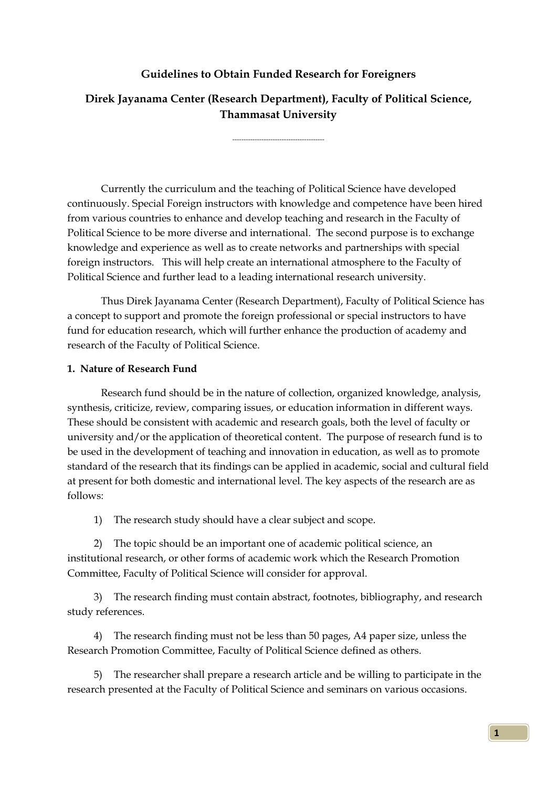## **Guidelines to Obtain Funded Research for Foreigners**

## **Direk Jayanama Center (Research Department), Faculty of Political Science, Thammasat University**

-----------------------------------------

Currently the curriculum and the teaching of Political Science have developed continuously. Special Foreign instructors with knowledge and competence have been hired from various countries to enhance and develop teaching and research in the Faculty of Political Science to be more diverse and international. The second purpose is to exchange knowledge and experience as well as to create networks and partnerships with special foreign instructors. This will help create an international atmosphere to the Faculty of Political Science and further lead to a leading international research university.

Thus Direk Jayanama Center (Research Department), Faculty of Political Science has a concept to support and promote the foreign professional or special instructors to have fund for education research, which will further enhance the production of academy and research of the Faculty of Political Science.

#### **1. Nature of Research Fund**

Research fund should be in the nature of collection, organized knowledge, analysis, synthesis, criticize, review, comparing issues, or education information in different ways. These should be consistent with academic and research goals, both the level of faculty or university and/or the application of theoretical content. The purpose of research fund is to be used in the development of teaching and innovation in education, as well as to promote standard of the research that its findings can be applied in academic, social and cultural field at present for both domestic and international level. The key aspects of the research are as follows:

1) The research study should have a clear subject and scope.

2) The topic should be an important one of academic political science, an institutional research, or other forms of academic work which the Research Promotion Committee, Faculty of Political Science will consider for approval.

3) The research finding must contain abstract, footnotes, bibliography, and research study references.

4) The research finding must not be less than 50 pages, A4 paper size, unless the Research Promotion Committee, Faculty of Political Science defined as others.

5) The researcher shall prepare a research article and be willing to participate in the research presented at the Faculty of Political Science and seminars on various occasions.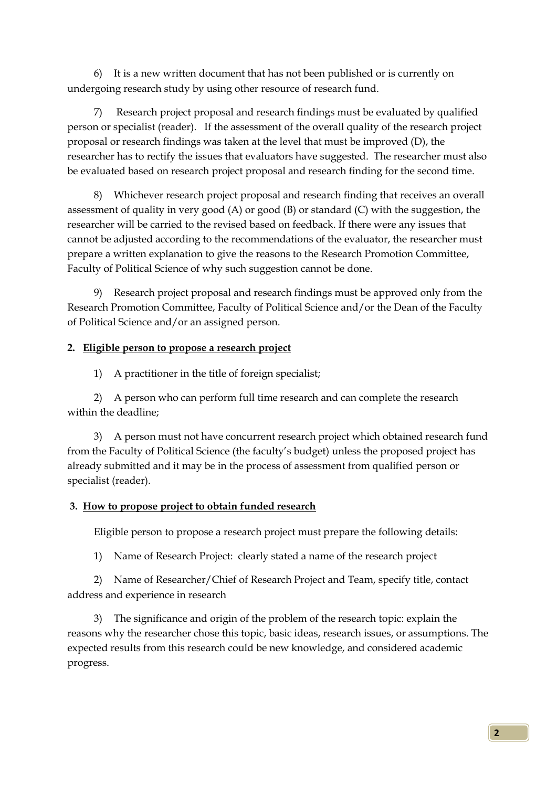6) It is a new written document that has not been published or is currently on undergoing research study by using other resource of research fund.

7) Research project proposal and research findings must be evaluated by qualified person or specialist (reader). If the assessment of the overall quality of the research project proposal or research findings was taken at the level that must be improved (D), the researcher has to rectify the issues that evaluators have suggested. The researcher must also be evaluated based on research project proposal and research finding for the second time.

8) Whichever research project proposal and research finding that receives an overall assessment of quality in very good (A) or good (B) or standard (C) with the suggestion, the researcher will be carried to the revised based on feedback. If there were any issues that cannot be adjusted according to the recommendations of the evaluator, the researcher must prepare a written explanation to give the reasons to the Research Promotion Committee, Faculty of Political Science of why such suggestion cannot be done.

9) Research project proposal and research findings must be approved only from the Research Promotion Committee, Faculty of Political Science and/or the Dean of the Faculty of Political Science and/or an assigned person.

### **2. Eligible person to propose a research project**

1) A practitioner in the title of foreign specialist;

2) A person who can perform full time research and can complete the research within the deadline;

3) A person must not have concurrent research project which obtained research fund from the Faculty of Political Science (the faculty's budget) unless the proposed project has already submitted and it may be in the process of assessment from qualified person or specialist (reader).

#### **3. How to propose project to obtain funded research**

Eligible person to propose a research project must prepare the following details:

1) Name of Research Project: clearly stated a name of the research project

2) Name of Researcher/Chief of Research Project and Team, specify title, contact address and experience in research

3) The significance and origin of the problem of the research topic: explain the reasons why the researcher chose this topic, basic ideas, research issues, or assumptions. The expected results from this research could be new knowledge, and considered academic progress.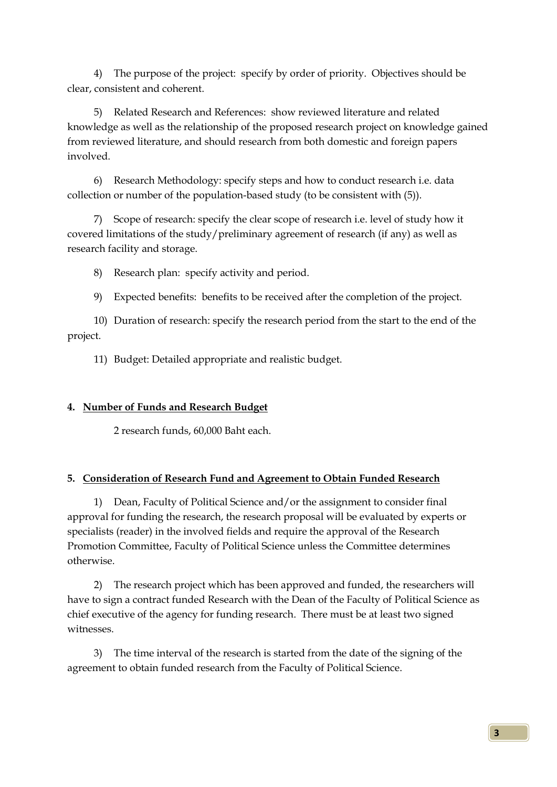4) The purpose of the project: specify by order of priority. Objectives should be clear, consistent and coherent.

5) Related Research and References: show reviewed literature and related knowledge as well as the relationship of the proposed research project on knowledge gained from reviewed literature, and should research from both domestic and foreign papers involved.

6) Research Methodology: specify steps and how to conduct research i.e. data collection or number of the population-based study (to be consistent with (5)).

7) Scope of research: specify the clear scope of research i.e. level of study how it covered limitations of the study/preliminary agreement of research (if any) as well as research facility and storage.

8) Research plan: specify activity and period.

9) Expected benefits: benefits to be received after the completion of the project.

10) Duration of research: specify the research period from the start to the end of the project.

11) Budget: Detailed appropriate and realistic budget.

## **4. Number of Funds and Research Budget**

2 research funds, 60,000 Baht each.

# **5. Consideration of Research Fund and Agreement to Obtain Funded Research**

1) Dean, Faculty of Political Science and/or the assignment to consider final approval for funding the research, the research proposal will be evaluated by experts or specialists (reader) in the involved fields and require the approval of the Research Promotion Committee, Faculty of Political Science unless the Committee determines otherwise.

2) The research project which has been approved and funded, the researchers will have to sign a contract funded Research with the Dean of the Faculty of Political Science as chief executive of the agency for funding research. There must be at least two signed witnesses.

3) The time interval of the research is started from the date of the signing of the agreement to obtain funded research from the Faculty of Political Science.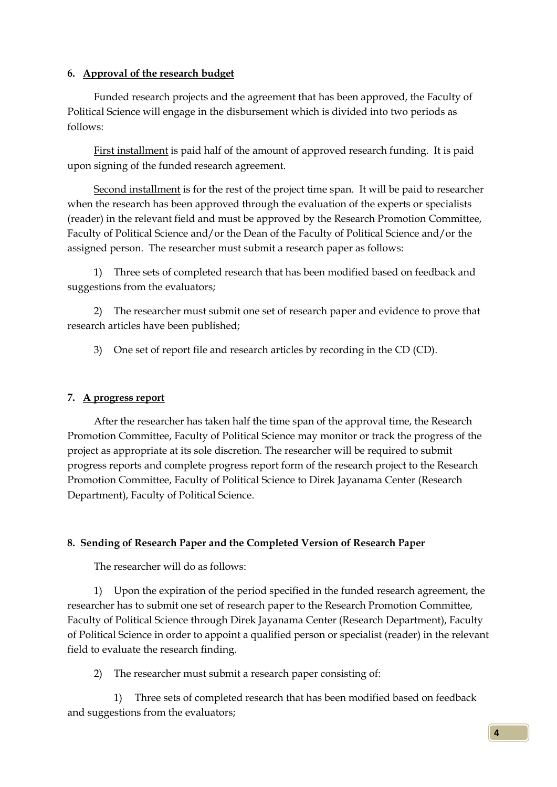### **6. Approval of the research budget**

Funded research projects and the agreement that has been approved, the Faculty of Political Science will engage in the disbursement which is divided into two periods as follows:

First installment is paid half of the amount of approved research funding. It is paid upon signing of the funded research agreement.

Second installment is for the rest of the project time span. It will be paid to researcher when the research has been approved through the evaluation of the experts or specialists (reader) in the relevant field and must be approved by the Research Promotion Committee, Faculty of Political Science and/or the Dean of the Faculty of Political Science and/or the assigned person. The researcher must submit a research paper as follows:

1) Three sets of completed research that has been modified based on feedback and suggestions from the evaluators;

2) The researcher must submit one set of research paper and evidence to prove that research articles have been published;

3) One set of report file and research articles by recording in the CD (CD).

## **7. A progress report**

After the researcher has taken half the time span of the approval time, the Research Promotion Committee, Faculty of Political Science may monitor or track the progress of the project as appropriate at its sole discretion. The researcher will be required to submit progress reports and complete progress report form of the research project to the Research Promotion Committee, Faculty of Political Science to Direk Jayanama Center (Research Department), Faculty of Political Science.

## **8. Sending of Research Paper and the Completed Version of Research Paper**

The researcher will do as follows:

1) Upon the expiration of the period specified in the funded research agreement, the researcher has to submit one set of research paper to the Research Promotion Committee, Faculty of Political Science through Direk Jayanama Center (Research Department), Faculty of Political Science in order to appoint a qualified person or specialist (reader) in the relevant field to evaluate the research finding.

2) The researcher must submit a research paper consisting of:

1) Three sets of completed research that has been modified based on feedback and suggestions from the evaluators;